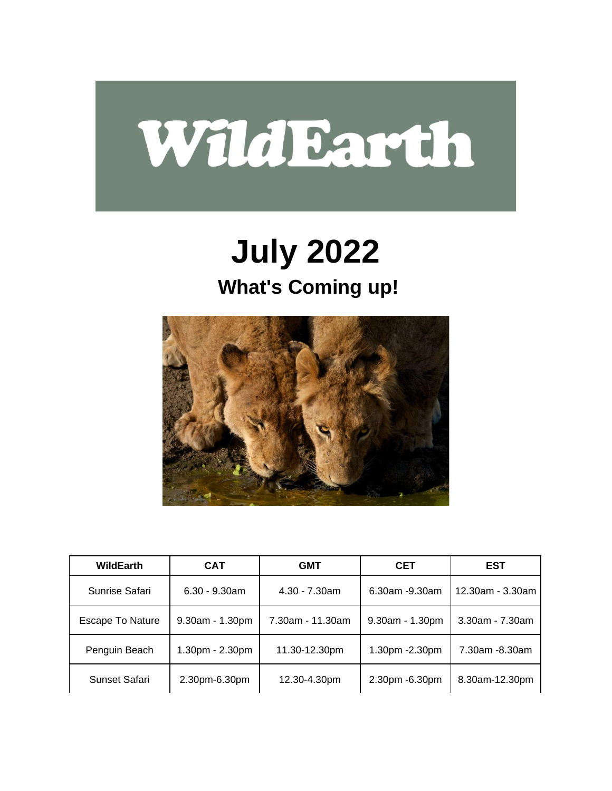

### **July 2022 What's Coming up!**



| WildEarth        | <b>CAT</b>       | <b>GMT</b>       | <b>CET</b>        | <b>EST</b>       |
|------------------|------------------|------------------|-------------------|------------------|
| Sunrise Safari   | $6.30 - 9.30$ am | $4.30 - 7.30$ am | 6.30am -9.30am    | 12.30am - 3.30am |
| Escape To Nature | 9.30am - 1.30pm  | 7.30am - 11.30am | $9.30am - 1.30pm$ | 3.30am - 7.30am  |
| Penguin Beach    | 1.30pm - 2.30pm  | 11.30-12.30pm    | 1.30pm - 2.30pm   | 7.30am -8.30am   |
| Sunset Safari    | 2.30pm-6.30pm    | 12.30-4.30pm     | 2.30pm -6.30pm    | 8.30am-12.30pm   |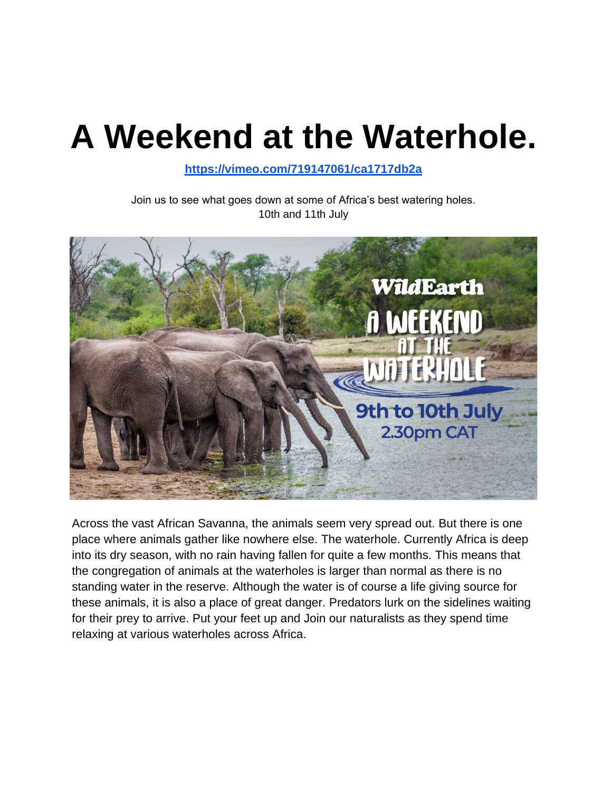# **A Weekend at the Waterhole.**

**<https://vimeo.com/719147061/ca1717db2a>**

Join us to see what goes down at some of Africa's best watering holes. 10th and 11th July



Across the vast African Savanna, the animals seem very spread out. But there is one place where animals gather like nowhere else. The waterhole. Currently Africa is deep into its dry season, with no rain having fallen for quite a few months. This means that the congregation of animals at the waterholes is larger than normal as there is no standing water in the reserve. Although the water is of course a life giving source for these animals, it is also a place of great danger. Predators lurk on the sidelines waiting for their prey to arrive. Put your feet up and Join our naturalists as they spend time relaxing at various waterholes across Africa.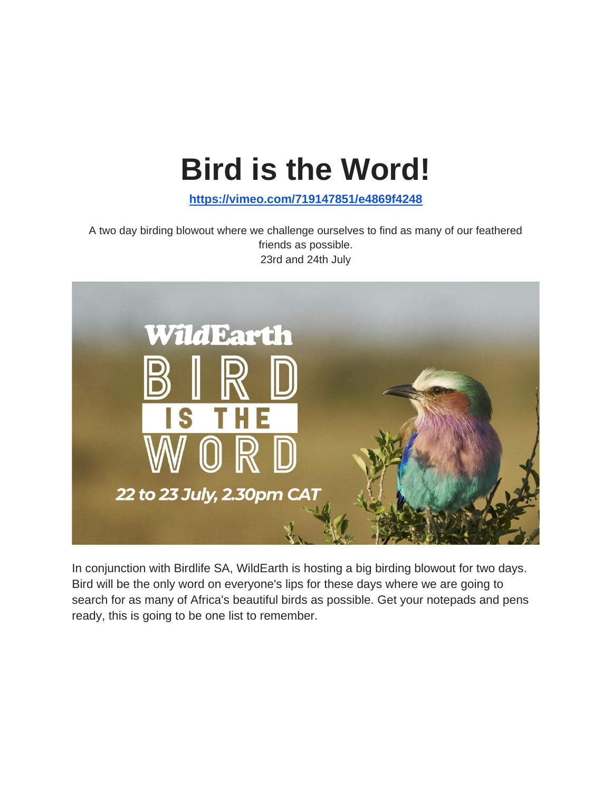## **Bird is the Word!**

**<https://vimeo.com/719147851/e4869f4248>**

A two day birding blowout where we challenge ourselves to find as many of our feathered friends as possible. 23rd and 24th July



In conjunction with Birdlife SA, WildEarth is hosting a big birding blowout for two days. Bird will be the only word on everyone's lips for these days where we are going to search for as many of Africa's beautiful birds as possible. Get your notepads and pens ready, this is going to be one list to remember.